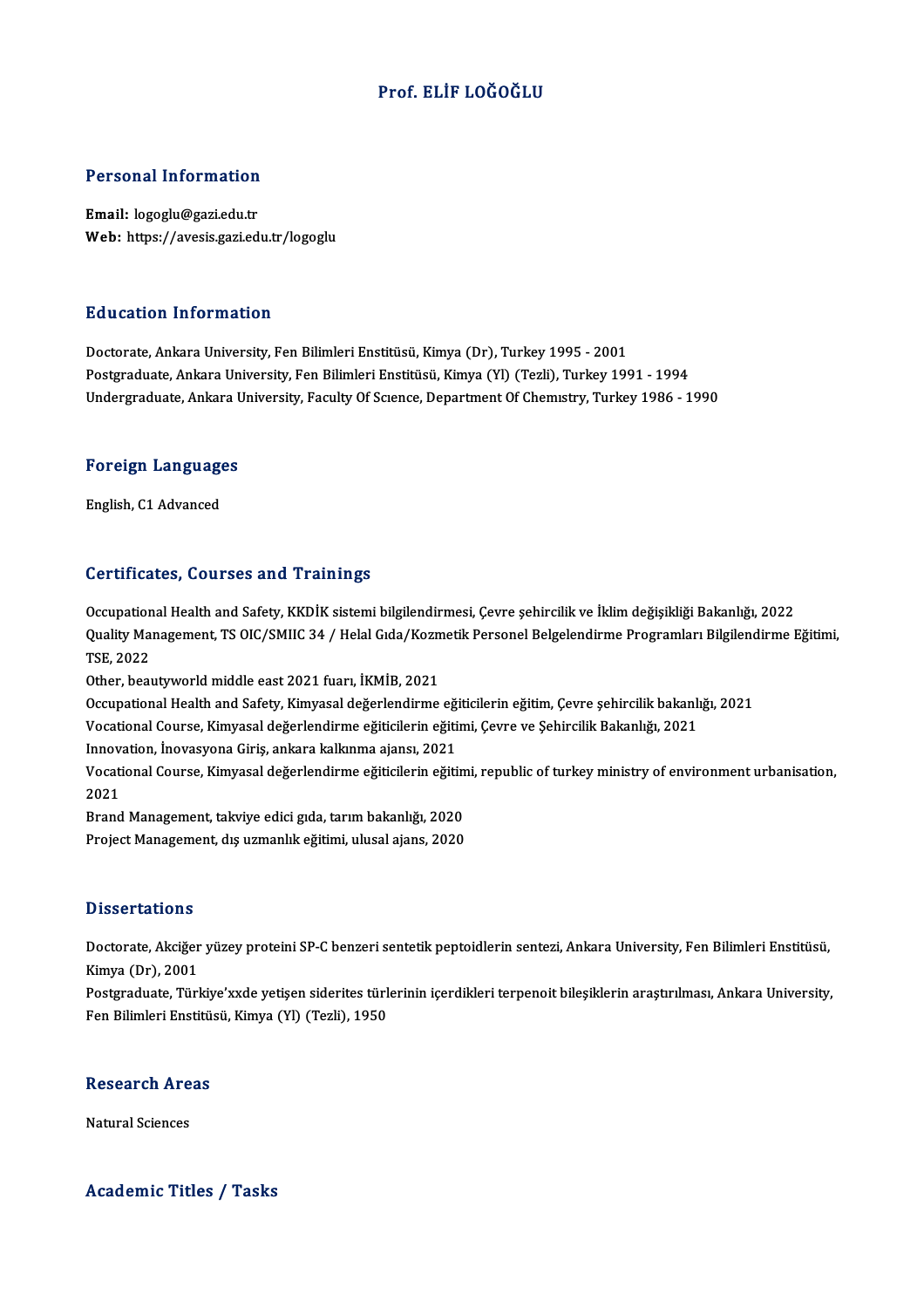### Prof. ELİF LOĞOĞLU

# Personal Information

Personal Information<br>Email: logoglu@gazi.edu.tr<br>Web: https://avesis.cari.ed Email: logoglu@gazi.edu.tr<br>Web: https://avesis.gazi.edu.tr/logoglu

### Education Information

Doctorate, Ankara University, Fen Bilimleri Enstitüsü, Kimya (Dr), Turkey 1995 - 2001 Postgraduate, Ankara University, Fen Bilimleri Enstitüsü, Kimya (Yl) (Tezli), Turkey 1991 - 1994 Undergraduate, Ankara University, Faculty Of Science, Department Of Chemistry, Turkey 1986 - 1990

## <sub>Undergraduate, Ankara t<br>Foreign Languages</sub> <mark>Foreign Languag</mark>e<br>English, C1 Advanced

# English, C1 Advanced<br>Certificates, Courses and Trainings

Certificates, Courses and Trainings<br>Occupational Health and Safety, KKDİK sistemi bilgilendirmesi, Çevre şehircilik ve İklim değişikliği Bakanlığı, 2022<br>Quality Managament, TS OIC (SMIC 34. / Helal Cida (Kezmetik Personel OOI dirioduos) Qodroso dira "Frammişs"<br>Occupational Health and Safety, KKDİK sistemi bilgilendirmesi, Çevre şehircilik ve İklim değişikliği Bakanlığı, 2022<br>Quality Management, TS OIC/SMIIC 34 / Helal Gıda/Kozmetik Personel Occupation<br>Quality Mar<br>TSE, 2022<br>Other heat Quality Management, TS OIC/SMIIC 34 / Helal Gıda/Kozm<br>TSE, 2022<br>Other, beautyworld middle east 2021 fuarı, İKMİB, 2021<br>Ossunational Health and Safaty Kimyasal doğarlandırma TSE, 2022<br>Other, beautyworld middle east 2021 fuarı, İKMİB, 2021<br>Occupational Health and Safety, Kimyasal değerlendirme eğiticilerin eğitim, Çevre şehircilik bakanlığı, 2021<br>Vesational Ceurse, Kimyasal değerlendirme eğitis

Other, beautyworld middle east 2021 fuarı, İKMİB, 2021<br>Occupational Health and Safety, Kimyasal değerlendirme eğiticilerin eğitim, Çevre şehircilik bakanlığı,<br>Vocational Course, Kimyasal değerlendirme eğiticilerin eğitimi, Occupational Health and Safety, Kimyasal değerlendirme eği<br>Vocational Course, Kimyasal değerlendirme eğiticilerin eğiti<br>Innovation, İnovasyona Giriş, ankara kalkınma ajansı, 2021<br>Vesational Course, Kimyasal değerlendirme e

Vocational Course, Kimyasal değerlendirme eğiticilerin eğitimi, Çevre ve Şehircilik Bakanlığı, 2021<br>Innovation, İnovasyona Giriş, ankara kalkınma ajansı, 2021<br>Vocational Course, Kimyasal değerlendirme eğiticilerin eğitimi, Innov<br>Vocati<br>2021<br>Prend Vocational Course, Kimyasal değerlendirme eğiticilerin eğitim<br>2021<br>Brand Management, takviye edici gıda, tarım bakanlığı, 2020<br>Preject Management, dış uzmanlık eğitimi, ulusal sians, 2020

2021<br>Brand Management, takviye edici gıda, tarım bakanlığı, 2020<br>Project Management, dış uzmanlık eğitimi, ulusal ajans, 2020

### **Dissertations**

Dissertations<br>Doctorate, Akciğer yüzey proteini SP-C benzeri sentetik peptoidlerin sentezi, Ankara University, Fen Bilimleri Enstitüsü,<br>Kimya (Dr), 2001 2 18881 daelons<br>Doctorate, Akciğer<br>Kimya (Dr), 2001<br>Postaraduate, Türk Doctorate, Akciğer yüzey proteini SP-C benzeri sentetik peptoidlerin sentezi, Ankara University, Fen Bilimleri Enstitüsü,<br>Kimya (Dr), 2001<br>Postgraduate, Türkiye'xxde yetişen siderites türlerinin içerdikleri terpenoit bileş

Kimya (Dr), 2001<br>Postgraduate, Türkiye'xxde yetişen siderites türl<br>Fen Bilimleri Enstitüsü, Kimya (Yl) (Tezli), 1950 Fen Bilimleri Enstitüsü, Kimya (Yl) (Tezli), 1950<br>Research Areas

Natural Sciences

### Academic Titles / Tasks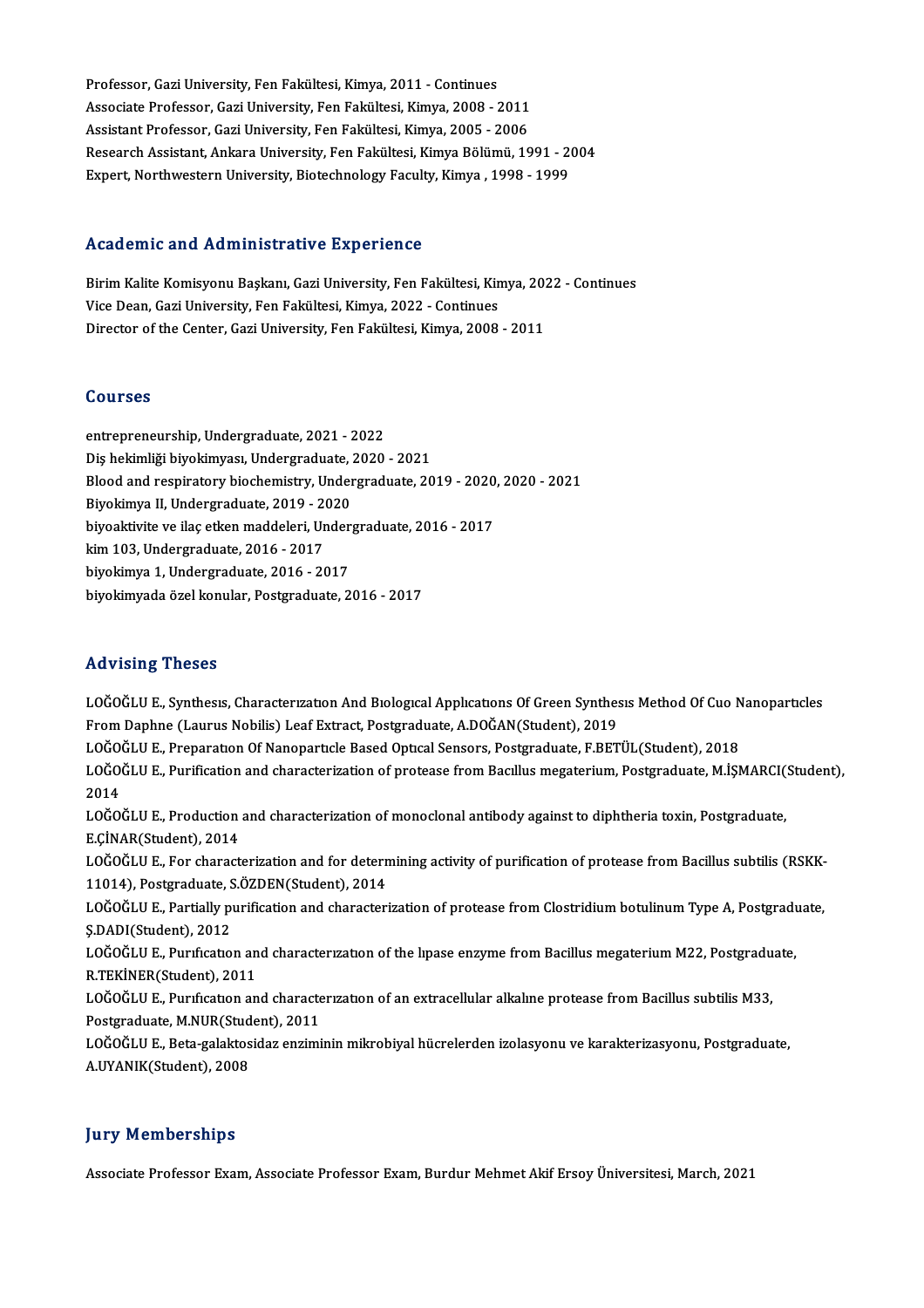Professor, Gazi University, Fen Fakültesi, Kimya, 2011 - Continues<br>Assesiste Professor, Cari University, Fen Fakültesi, Kimya, 2008 - 2 Professor, Gazi University, Fen Fakültesi, Kimya, 2011 - Continues<br>Associate Professor, Gazi University, Fen Fakültesi, Kimya, 2008 - 2011<br>Assistant Professor, Cari University, Fen Fakültesi, Kimya, 2005 - 2006 Professor, Gazi University, Fen Fakültesi, Kimya, 2011 - Continues<br>Associate Professor, Gazi University, Fen Fakültesi, Kimya, 2008 - 2011<br>Assistant Professor, Gazi University, Fen Fakültesi, Kimya, 2005 - 2006<br>Pessarsh As Associate Professor, Gazi University, Fen Fakültesi, Kimya, 2008 - 2011<br>Assistant Professor, Gazi University, Fen Fakültesi, Kimya, 2005 - 2006<br>Research Assistant, Ankara University, Fen Fakültesi, Kimya Bölümü, 1991 - 200 Assistant Professor, Gazi University, Fen Fakültesi, Kimya, 2005 - 2006<br>Research Assistant, Ankara University, Fen Fakültesi, Kimya Bölümü, 1991 - 2<br>Expert, Northwestern University, Biotechnology Faculty, Kimya , 1998 - 19 Expert, Northwestern University, Biotechnology Faculty, Kimya , 1998 - 1999<br>Academic and Administrative Experience

Birim Kalite Komisyonu Başkanı, Gazi University, Fen Fakültesi, Kimya, 2022 - Continues Vice Dean, Gazi University, Fen Fakültesi, Kimya, 2022 - Continues Director of the Center, Gazi University, Fen Fakültesi, Kimya, 2008 - 2011

### Courses

entrepreneurship,Undergraduate,2021 -2022 00u1555<br>entrepreneurship, Undergraduate, 2021 - 2022<br>Diş hekimliği biyokimyası, Undergraduate, 2020 - 2021<br>Plaad and requiratoru biochemistru, Undergraduate, 20 entrepreneurship, Undergraduate, 2021 - 2022<br>Diş hekimliği biyokimyası, Undergraduate, 2020 - 2021<br>Blood and respiratory biochemistry, Undergraduate, 2019 - 2020, 2020 - 2021<br>Biyokimya II. Undergraduate, 2019, 2020 Diş hekimliği biyokimyası, Undergraduate, .<br>Blood and respiratory biochemistry, Under<br>Biyokimya II, Undergraduate, 2019 - 2020<br>biyoaktivite ve ilas etken maddeleri, Under Blood and respiratory biochemistry, Undergraduate, 2019 - 2020<br>Biyokimya II, Undergraduate, 2019 - 2020<br>biyoaktivite ve ilaç etken maddeleri, Undergraduate, 2016 - 2017<br>kim 103. Undergraduate, 2016 - 2017 Biyokimya II, Undergraduate, 2019 - 2020<br>biyoaktivite ve ilaç etken maddeleri, Undergraduate, 2016 - 2017<br>kim 103, Undergraduate, 2016 - 2017 biyokimya 1,Undergraduate,2016 -2017 biyokimyada özelkonular,Postgraduate,2016 -2017

### Advising Theses

Advising Theses<br>LOĞOĞLU E., Synthesıs, Characterızatıon And Bıologıcal Applıcatıons Of Green Synthesis Method Of Cuo Nanoparticles<br>Fram Danhne (Laurus Nobilia) Leef Eutrect, Restandusta A.DOĞAN(Student), 2019 From Daphne (Laurus Nobilis) Leaf Extract, Postgraduate, A.DOĞAN(Student), 2019<br>LOĞOĞLU E., Preparatıon Of Nanopartıcle Based Optical Sensors, Postgraduate, F.BETÜL(Student), 2018 LOĞOĞLU E., Synthesis, Characterization And Biological Applications Of Green Synthesis Method Of Cuo N<br>From Daphne (Laurus Nobilis) Leaf Extract, Postgraduate, A.DOĞAN(Student), 2019<br>LOĞOĞLU E., Preparation Of Nanoparticle From Daphne (Laurus Nobilis) Leaf Extract, Postgraduate, A.DOĞAN(Student), 2019<br>LOĞOĞLU E., Preparation Of Nanoparticle Based Optical Sensors, Postgraduate, F.BETÜL(Student), 2018<br>LOĞOĞLU E., Purification and characterizat LOĞO<br>LOĞO<br>2014<br>LOČO LOĞOĞLU E., Purification and characterization of protease from Bacıllus megaterium, Postgraduate, M.İŞMARCI(<br>2014<br>LOĞOĞLU E., Production and characterization of monoclonal antibody against to diphtheria toxin, Postgraduate 2014<br>LOĞOĞLU E., Production and characterization of monoclonal antibody against to diphtheria toxin, Postgraduate,<br>E.ÇİNAR(Student), 2014 LOĞOĞLU E., Production and characterization of monoclonal antibody against to diphtheria toxin, Postgraduate,<br>E.ÇİNAR(Student), 2014<br>LOĞOĞLU E., For characterization and for determining activity of purification of protease E.ÇİNAR(Student), 2014<br>LOĞOĞLU E., For characterization and for detern<br>11014), Postgraduate, S.ÖZDEN(Student), 2014<br>LOĞOĞLU E. Partially purification and characteri LOĞOĞLU E., For characterization and for determining activity of purification of protease from Bacillus subtilis (RSKK-<br>11014), Postgraduate, S.ÖZDEN(Student), 2014<br>LOĞOĞLU E., Partially purification and characterization o 11014), Postgraduate, S<br>LOĞOĞLU E., Partially pi<br>Ş.DADI(Student), 2012<br>LOĞOĞLU E. Purrfratası LOĞOĞLU E., Partially purification and characterization of protease from Clostridium botulinum Type A, Postgradu<br>Ş.DADI(Student), 2012<br>LOĞOĞLU E., Purıfication and characterization of the lipase enzyme from Bacillus megate Ş.DADI(Student), 2012<br>LOĞOĞLU E., Purification ai<br>R.TEKİNER(Student), 2011 LOĞOĞLU E., Purification and characterization of the lipase enzyme from Bacillus megaterium M22, Postgraduate,<br>R.TEKİNER(Student), 2011<br>LOĞOĞLU E., Purification and characterization of an extracellular alkaline protease fr LOĞOĞLU E., Purification and characterization of an extracellular alkaline protease from Bacillus subtilis M33, LOĞOĞLU E., Purıfication and characterization of an extracellular alkaline protease from Bacillus subtilis M33,<br>Postgraduate, M.NUR(Student), 2011<br>LOĞOĞLU E., Beta-galaktosidaz enziminin mikrobiyal hücrelerden izolasyonu v Postgraduate, M.NUR(Stud<br>LOĞOĞLU E., Beta-galaktos<br>A.UYANIK(Student), 2008

# A.UYANIK(Student), 2008<br>Jury Memberships

Associate Professor Exam, Associate Professor Exam, Burdur Mehmet Akif Ersoy Üniversitesi, March, 2021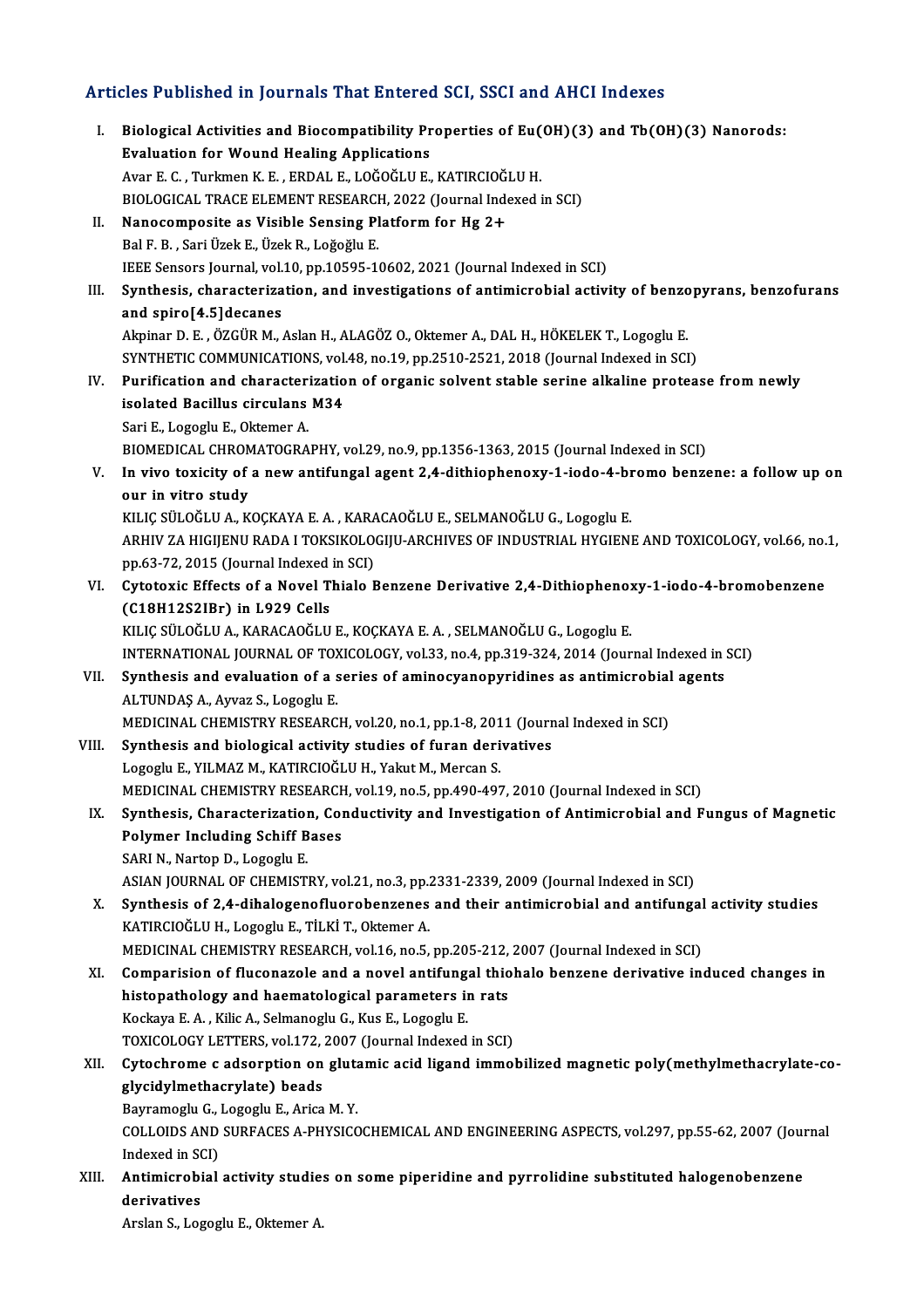# Articles Published in Journals That Entered SCI, SSCI and AHCI Indexes

| Articles Published in Journals That Entered SCI, SSCI and AHCI Indexes |                                                                                                                                                |
|------------------------------------------------------------------------|------------------------------------------------------------------------------------------------------------------------------------------------|
| L.                                                                     | Biological Activities and Biocompatibility Properties of Eu(OH)(3) and Tb(OH)(3) Nanorods:<br><b>Evaluation for Wound Healing Applications</b> |
|                                                                        | Avar E. C., Turkmen K. E., ERDAL E., LOĞOĞLU E., KATIRCIOĞLU H.                                                                                |
|                                                                        | BIOLOGICAL TRACE ELEMENT RESEARCH, 2022 (Journal Indexed in SCI)                                                                               |
| П.                                                                     | Nanocomposite as Visible Sensing Platform for Hg 2+                                                                                            |
|                                                                        | Bal F. B., Sari Üzek E., Üzek R., Loğoğlu E.                                                                                                   |
|                                                                        | IEEE Sensors Journal, vol.10, pp.10595-10602, 2021 (Journal Indexed in SCI)                                                                    |
| Ш.                                                                     | Synthesis, characterization, and investigations of antimicrobial activity of benzopyrans, benzofurans                                          |
|                                                                        | and spiro[4.5] decanes                                                                                                                         |
|                                                                        | Akpinar D. E., ÖZGÜR M., Aslan H., ALAGÖZ O., Oktemer A., DAL H., HÖKELEK T., Logoglu E.                                                       |
|                                                                        | SYNTHETIC COMMUNICATIONS, vol.48, no.19, pp.2510-2521, 2018 (Journal Indexed in SCI)                                                           |
| IV.                                                                    | Purification and characterization of organic solvent stable serine alkaline protease from newly                                                |
|                                                                        | isolated Bacillus circulans M34                                                                                                                |
|                                                                        | Sari E., Logoglu E., Oktemer A.                                                                                                                |
|                                                                        | BIOMEDICAL CHROMATOGRAPHY, vol.29, no.9, pp.1356-1363, 2015 (Journal Indexed in SCI)                                                           |
| V.                                                                     | In vivo toxicity of a new antifungal agent 2,4-dithiophenoxy-1-iodo-4-bromo benzene: a follow up on                                            |
|                                                                        | our in vitro study                                                                                                                             |
|                                                                        | KILIÇ SÜLOĞLU A., KOÇKAYA E. A., KARACAOĞLU E., SELMANOĞLU G., Logoglu E.                                                                      |
|                                                                        | ARHIV ZA HIGIJENU RADA I TOKSIKOLOGIJU-ARCHIVES OF INDUSTRIAL HYGIENE AND TOXICOLOGY, vol.66, no.1,                                            |
|                                                                        | pp.63-72, 2015 (Journal Indexed in SCI)                                                                                                        |
| VI.                                                                    | Cytotoxic Effects of a Novel Thialo Benzene Derivative 2,4-Dithiophenoxy-1-iodo-4-bromobenzene                                                 |
|                                                                        | (C18H12S2IBr) in L929 Cells                                                                                                                    |
|                                                                        | KILIÇ SÜLOĞLU A., KARACAOĞLU E., KOÇKAYA E. A., SELMANOĞLU G., Logoglu E.                                                                      |
|                                                                        | INTERNATIONAL JOURNAL OF TOXICOLOGY, vol.33, no.4, pp.319-324, 2014 (Journal Indexed in SCI)                                                   |
| VII.                                                                   | Synthesis and evaluation of a series of aminocyanopyridines as antimicrobial agents                                                            |
|                                                                        | ALTUNDAȘ A., Ayvaz S., Logoglu E.                                                                                                              |
|                                                                        | MEDICINAL CHEMISTRY RESEARCH, vol.20, no.1, pp.1-8, 2011 (Journal Indexed in SCI)                                                              |
| VIII.                                                                  | Synthesis and biological activity studies of furan derivatives                                                                                 |
|                                                                        | Logoglu E., YILMAZ M., KATIRCIOĞLU H., Yakut M., Mercan S.                                                                                     |
|                                                                        | MEDICINAL CHEMISTRY RESEARCH, vol.19, no.5, pp.490-497, 2010 (Journal Indexed in SCI)                                                          |
| IX.                                                                    | Synthesis, Characterization, Conductivity and Investigation of Antimicrobial and Fungus of Magnetic                                            |
|                                                                        | <b>Polymer Including Schiff Bases</b>                                                                                                          |
|                                                                        | SARI N., Nartop D., Logoglu E.                                                                                                                 |
|                                                                        | ASIAN JOURNAL OF CHEMISTRY, vol.21, no.3, pp.2331-2339, 2009 (Journal Indexed in SCI)                                                          |
| X.                                                                     | Synthesis of 2,4-dihalogenofluorobenzenes and their antimicrobial and antifungal activity studies                                              |
|                                                                        | KATIRCIOĞLU H., Logoglu E., TİLKİ T., Oktemer A.                                                                                               |
|                                                                        | MEDICINAL CHEMISTRY RESEARCH, vol.16, no.5, pp.205-212, 2007 (Journal Indexed in SCI)                                                          |
| XI.                                                                    | Comparision of fluconazole and a novel antifungal thiohalo benzene derivative induced changes in                                               |
|                                                                        | histopathology and haematological parameters in rats                                                                                           |
|                                                                        | Kockaya E. A., Kilic A., Selmanoglu G., Kus E., Logoglu E.                                                                                     |
|                                                                        | TOXICOLOGY LETTERS, vol.172, 2007 (Journal Indexed in SCI)                                                                                     |
| XII.                                                                   | Cytochrome c adsorption on glutamic acid ligand immobilized magnetic poly(methylmethacrylate-co-                                               |
|                                                                        | glycidylmethacrylate) beads                                                                                                                    |
|                                                                        | Bayramoglu G., Logoglu E., Arica M.Y.                                                                                                          |
|                                                                        | COLLOIDS AND SURFACES A-PHYSICOCHEMICAL AND ENGINEERING ASPECTS, vol.297, pp.55-62, 2007 (Journal                                              |
| XIII.                                                                  | Indexed in SCI)<br>Antimicrobial activity studies on some piperidine and pyrrolidine substituted halogenobenzene                               |
|                                                                        | derivatives                                                                                                                                    |
|                                                                        | Arslan S., Logoglu E., Oktemer A.                                                                                                              |
|                                                                        |                                                                                                                                                |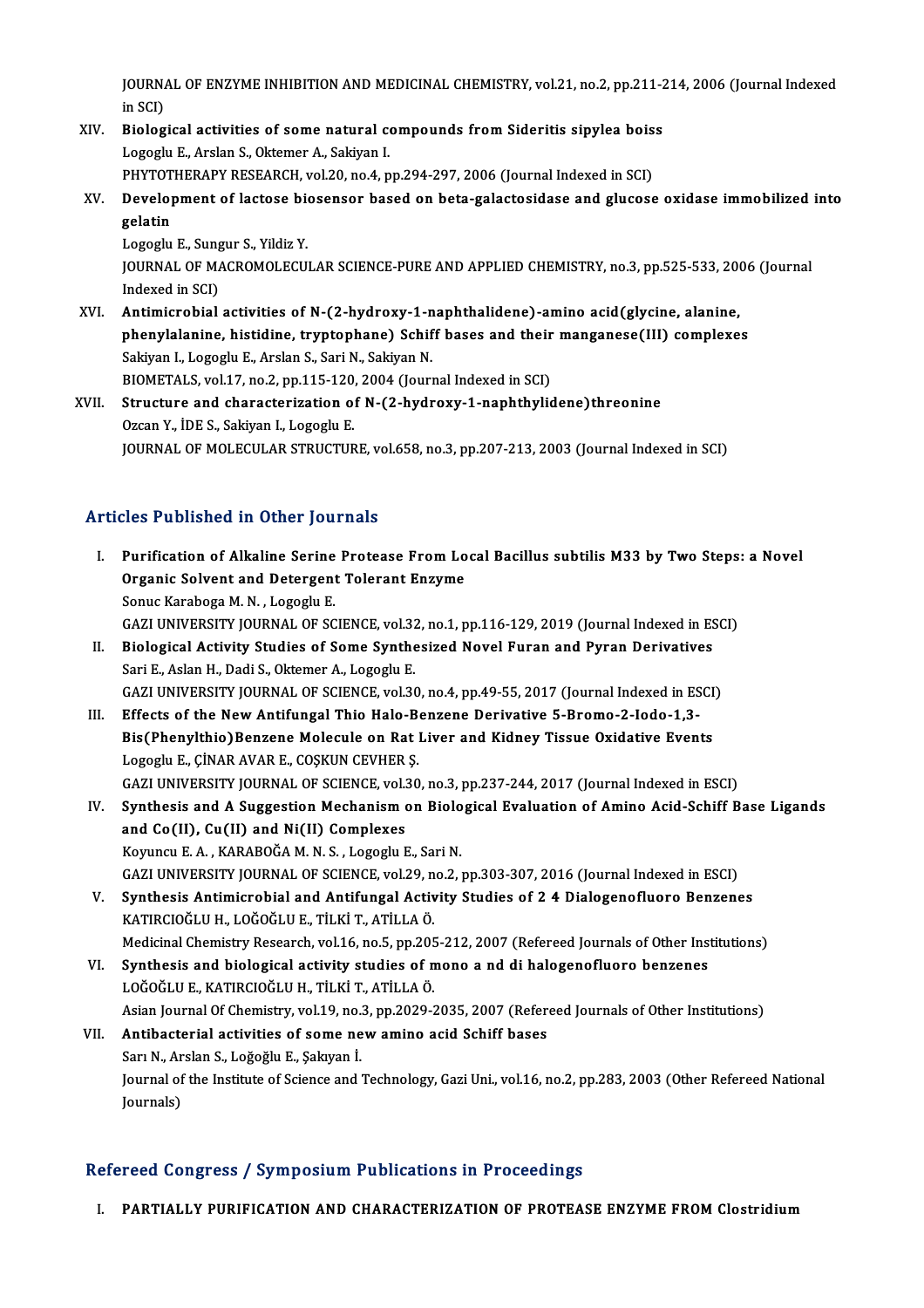JOURNAL OF ENZYME INHIBITION AND MEDICINAL CHEMISTRY, vol.21, no.2, pp.211-214, 2006 (Journal Indexed<br>in SCD **j**OURN<sub>4</sub><br>in SCI)<br>Biolog JOURNAL OF ENZYME INHIBITION AND MEDICINAL CHEMISTRY, vol.21, no.2, pp.211-2<br>in SCI)<br>XIV. Biological activities of some natural compounds from Sideritis sipylea boiss<br>Logogly E. Arelan S. Oktomor A. Sakivan L

- in SCI)<br>Biological activities of some natural condination<br>Logoglu E., Arslan S., Oktemer A., Sakiyan I.<br>PHYTOTHERARY RESEARCH vel 30 no 4 n Biological activities of some natural compounds from Sideritis sipylea bois<br>Logoglu E., Arslan S., Oktemer A., Sakiyan I.<br>PHYTOTHERAPY RESEARCH, vol.20, no.4, pp.294-297, 2006 (Journal Indexed in SCI)<br>Davelopment of lastes
- Logoglu E., Arslan S., Oktemer A., Sakiyan I.<br>PHYTOTHERAPY RESEARCH, vol.20, no.4, pp.294-297, 2006 (Journal Indexed in SCI)<br>XV. Development of lactose biosensor based on beta-galactosidase and glucose oxidase immobili PHYTOTHERAPY RESEARCH, vol.20, no.4, pp.294-297, 2006 (Journal Indexed in SCI)<br>Development of lactose biosensor based on beta-galactosidase and glucose<br>gelatin<br>Logoglu E., Sungur S., Yildiz Y. Development of lactose bio<br>gelatin<br>Logoglu E., Sungur S., Yildiz Y.<br>JOUPNAL OF MACPOMOLECU

gelatin<br>Logoglu E., Sungur S., Yildiz Y.<br>JOURNAL OF MACROMOLECULAR SCIENCE-PURE AND APPLIED CHEMISTRY, no.3, pp.525-533, 2006 (Journal Logoglu E., Sung<br>JOURNAL OF MA<br>Indexed in SCI)<br>Antimicrobial JOURNAL OF MACROMOLECULAR SCIENCE-PURE AND APPLIED CHEMISTRY, no.3, pp.525-533, 20<br>Indexed in SCI)<br>XVI. Antimicrobial activities of N-(2-hydroxy-1-naphthalidene)-amino acid(glycine, alanine,<br>nhonylalanine, histidine, trunt

- Indexed in SCI)<br>Antimicrobial activities of N-(2-hydroxy-1-naphthalidene)-amino acid(glycine, alanine,<br>phenylalanine, histidine, tryptophane) Schiff bases and their manganese(III) complexes<br>Sekivan L. Legegly E. Arelan S. Antimicrobial activities of N-(2-hydroxy-1-n<br>phenylalanine, histidine, tryptophane) Schif<br>Sakiyan I., Logoglu E., Arslan S., Sari N., Sakiyan N.<br>PIOMETALS, vol.17, no.2, nn.115, 120, 2004 (Journ phenylalanine, histidine, tryptophane) Schiff bases and their<br>Sakiyan I., Logoglu E., Arslan S., Sari N., Sakiyan N.<br>BIOMETALS, vol.17, no.2, pp.115-120, 2004 (Journal Indexed in SCI)<br>Structure and characterization of N.(2 Sakiyan I., Logoglu E., Arslan S., Sari N., Sakiyan N.<br>BIOMETALS, vol.17, no.2, pp.115-120, 2004 (Journal Indexed in SCI)<br>XVII. Structure and characterization of N-(2-hydroxy-1-naphthylidene)threonine<br>Ozcan Y., İDE S., Sak
- BIOMETALS, vol.17, no.2, pp.115-120,<br>Structure and characterization of<br>Ozcan Y., İDE S., Sakiyan I., Logoglu E.<br>JOUPNAL OF MOLECULAR STRUCTUR JOURNAL OF MOLECULAR STRUCTURE, vol.658, no.3, pp.207-213, 2003 (Journal Indexed in SCI)

### Articles Published in Other Journals

rticles Published in Other Journals<br>I. Purification of Alkaline Serine Protease From Local Bacillus subtilis M33 by Two Steps: a Novel<br>Organis Selvent and Detergent Telerant Engume Purification of Alkaline Serine Protease From Lo<br>Organic Solvent and Detergent Tolerant Enzyme Organic Solvent and Detergent Tolerant Enzyme<br>Sonuc Karaboga M. N. , Logoglu E. Organic Solvent and Detergent Tolerant Enzyme<br>Sonuc Karaboga M. N. , Logoglu E.<br>GAZI UNIVERSITY JOURNAL OF SCIENCE, vol.32, no.1, pp.116-129, 2019 (Journal Indexed in ESCI)<br>Piological Activity Studies of Some Synthosized N Sonuc Karaboga M. N. , Logoglu E.<br>GAZI UNIVERSITY JOURNAL OF SCIENCE, vol.32, no.1, pp.116-129, 2019 (Journal Indexed in ES<br>II. Biological Activity Studies of Some Synthesized Novel Furan and Pyran Derivatives<br>Sori E. Asla GAZI UNIVERSITY JOURNAL OF SCIENCE, vol.32<br>Biological Activity Studies of Some Synthe<br>Sari E., Aslan H., Dadi S., Oktemer A., Logoglu E.<br>CAZI UNIVERSITY JOURNAL OF SCIENCE vol.34 II. Biological Activity Studies of Some Synthesized Novel Furan and Pyran Derivatives<br>Sari E., Aslan H., Dadi S., Oktemer A., Logoglu E.<br>GAZI UNIVERSITY JOURNAL OF SCIENCE, vol.30, no.4, pp.49-55, 2017 (Journal Indexed in III. Effects of the New Antifungal Thio Halo-Benzene Derivative 5-Bromo-2-Iodo-1,3-GAZI UNIVERSITY JOURNAL OF SCIENCE, vol.30, no.4, pp.49-55, 2017 (Journal Indexed in ESCI)<br>Effects of the New Antifungal Thio Halo-Benzene Derivative 5-Bromo-2-Iodo-1,3-<br>Bis(Phenylthio)Benzene Molecule on Rat Liver and Kid Effects of the New Antifungal Thio Halo-B<br>Bis(Phenylthio)Benzene Molecule on Rat 1<br>Logoglu E., ÇİNAR AVAR E., COŞKUN CEVHER Ş.<br>CAZI UNIVERSITY JOURNAL OF SCIENCE vol 30 Bis(Phenylthio)Benzene Molecule on Rat Liver and Kidney Tissue Oxidative Events<br>Logoglu E., ÇİNAR AVAR E., COŞKUN CEVHER Ş.<br>GAZI UNIVERSITY JOURNAL OF SCIENCE, vol.30, no.3, pp.237-244, 2017 (Journal Indexed in ESCI)<br>Synth Logoglu E., ÇİNAR AVAR E., COŞKUN CEVHER Ş.<br>GAZI UNIVERSITY JOURNAL OF SCIENCE, vol.30, no.3, pp.237-244, 2017 (Journal Indexed in ESCI)<br>IV. Synthesis and A Suggestion Mechanism on Biological Evaluation of Amino Acid-Schif GAZI UNIVERSITY JOURNAL OF SCIENCE, vol.<br>Synthesis and A Suggestion Mechanism of<br>and Co(II), Cu(II) and Ni(II) Complexes and Co(II), Cu(II) and Ni(II) Complexes<br>Koyuncu E. A., KARABOĞA M. N. S., Logoglu E., Sari N. and Co(II), Cu(II) and Ni(II) Complexes<br>Koyuncu E. A. , KARABOĞA M. N. S. , Logoglu E., Sari N.<br>GAZI UNIVERSITY JOURNAL OF SCIENCE, vol.29, no.2, pp.303-307, 2016 (Journal Indexed in ESCI)<br>Synthesis Antimisrabial and Antif Koyuncu E. A. , KARABOĞA M. N. S. , Logoglu E., Sari N.<br>GAZI UNIVERSITY JOURNAL OF SCIENCE, vol.29, no.2, pp.303-307, 2016 (Journal Indexed in ESCI)<br>V. Synthesis Antimicrobial and Antifungal Activity Studies of 2 4 Dialoge GAZI UNIVERSITY JOURNAL OF SCIENCE, vol.29, n<br>Synthesis Antimicrobial and Antifungal Activ<br>KATIRCIOĞLU H., LOĞOĞLU E., TİLKİ T., ATİLLA Ö.<br>Medisinal Chamistry Besearsh vol.16, no.5, nn.205 V. Synthesis Antimicrobial and Antifungal Activity Studies of 2 4 Dialogenofluoro Benzenes<br>KATIRCIOĞLU H., LOĞOĞLU E., TİLKİ T., ATİLLA Ö.<br>Medicinal Chemistry Research, vol.16, no.5, pp.205-212, 2007 (Refereed Journals of KATIRCIOĞLU H., LOĞOĞLU E., TİLKİ T., ATİLLA Ö.<br>Medicinal Chemistry Research, vol.16, no.5, pp.205-212, 2007 (Refereed Journals of Other Inst<br>VI. Synthesis and biological activity studies of mono a nd di halogenofluoro ben Medicinal Chemistry Research, vol.16, no.5, pp.205<br>Synthesis and biological activity studies of n<br>LOĞOĞLU E., KATIRCIOĞLU H., TİLKİ T., ATİLLA Ö.<br>Asian Jaurnal Of Chamistru, vol.19, no.2, np.2020. Synthesis and biological activity studies of mono a nd di halogenofluoro benzenes<br>LOĞOĞLU E., KATIRCIOĞLU H., TİLKİ T., ATİLLA Ö.<br>Asian Journal Of Chemistry, vol.19, no.3, pp.2029-2035, 2007 (Refereed Journals of Other Ins LOĞOĞLU E., KATIRCIOĞLU H., TİLKİ T., ATİLLA Ö.<br>Asian Journal Of Chemistry, vol.19, no.3, pp.2029-2035, 2007 (Refer<br>VII. Antibacterial activities of some new amino acid Schiff bases<br>Sarı N., Arslan S., Loğoğlu E., Şakı Asian Journal Of Chemistry, vol.19, no.<br>**Antibacterial activities of some ne**<br>Sarı N., Arslan S., Loğoğlu E., Şakıyan İ.<br>Journal of the Institute of Ssienge and i Antibacterial activities of some new amino acid Schiff bases<br>Sarı N., Arslan S., Loğoğlu E., Şakıyan İ.<br>Journal of the Institute of Science and Technology, Gazi Uni., vol.16, no.2, pp.283, 2003 (Other Refereed National<br>Jou Sarı N., Ar<br>Journal of<br>Journals)

# Journals)<br>Refereed Congress / Symposium Publications in Proceedings

I. PARTIALLY PURIFICATION AND CHARACTERIZATION OF PROTEASE ENZYME FROMClostridium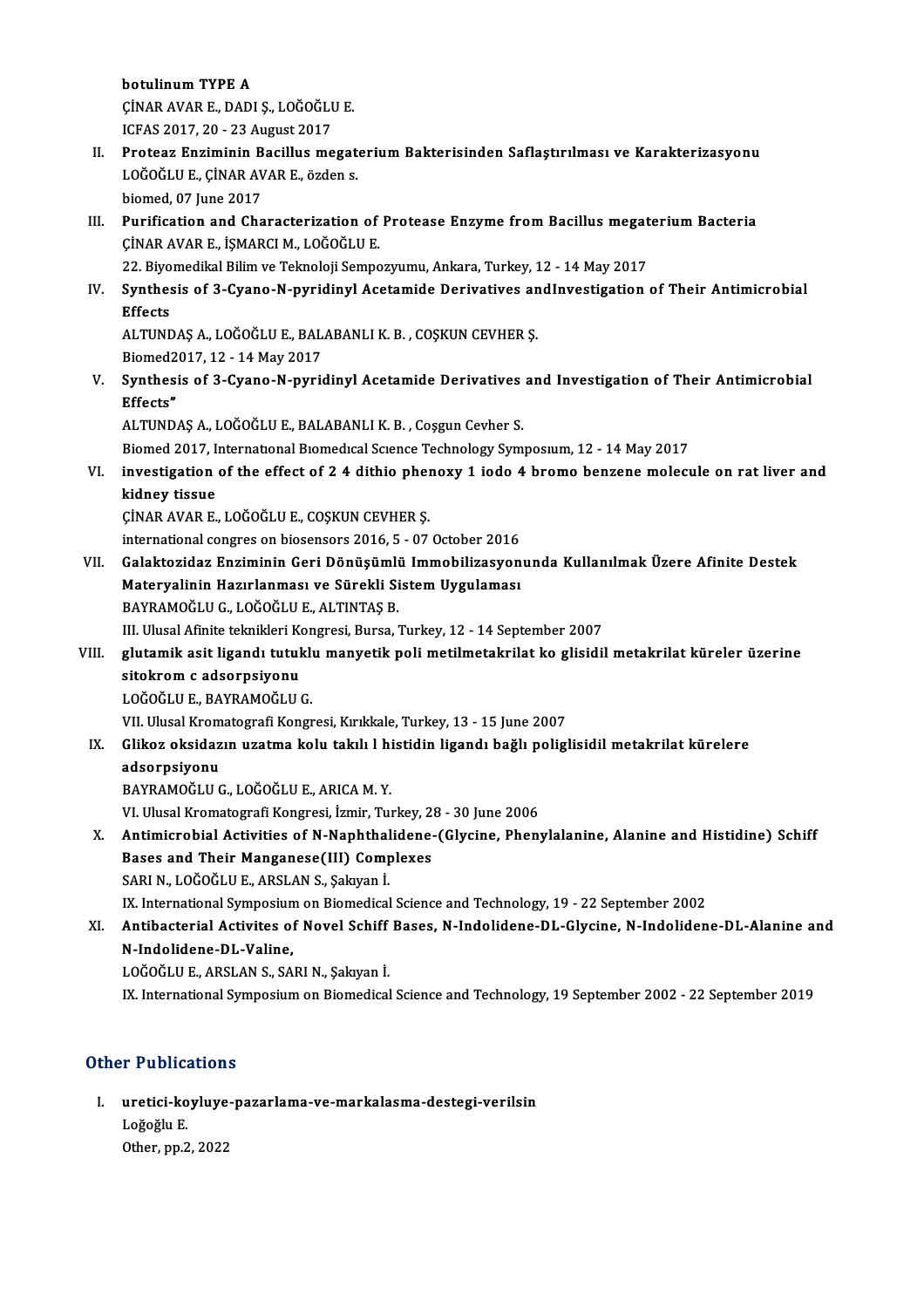botulinumTYPE A botulinum TYPE A<br>ÇİNAR AVAR E., DADI Ş., LOĞOĞLU E.<br>ICEAS 2017-20 - 22 Aygust 2017 botulinum TYPE A<br>ÇİNAR AVAR E., DADI Ş., LOĞOĞLI<br>ICFAS 2017, 20 - 23 August 2017<br>Proteer Engiminin Besillus me

- ÇİNAR AVAR E., DADI Ş., LOĞOĞLU E.<br>ICFAS 2017, 20 23 August 2017<br>II. Proteaz Enziminin Bacillus megaterium Bakterisinden Saflaştırılması ve Karakterizasyonu<br>LOĞOĞLUE CİNAR AVAR E. ÖZİQRO ICFAS 2017, 20 - 23 August 2017<br>Proteaz Enziminin Bacillus megat<br>LOĞOĞLU E., ÇİNAR AVAR E., özden s.<br>biamed. 07 June 2017 Proteaz Enziminin B<br>LOĞOĞLU E., ÇİNAR AV<br>biomed, 07 June 2017<br>Burification and Cha LOĞOĞLU E., ÇİNAR AVAR E., özden s.<br>biomed, 07 June 2017<br>III. Purification and Characterization of Protease Enzyme from Bacillus megaterium Bacteria<br>CİNAR AVAR E. İSMARCI M. LOĞOĞLU E
- biomed, 07 June 2017<br>Purification and Characterization of<br>ÇİNAR AVAR E., İŞMARCI M., LOĞOĞLU E.<br>22 Piyamedikal Bilim ve Taknalaji Samna Purification and Characterization of Protease Enzyme from Bacillus megat<br>CINAR AVAR E., IŞMARCI M., LOĞOĞLU E.<br>22. Biyomedikal Bilim ve Teknoloji Sempozyumu, Ankara, Turkey, 12 - 14 May 2017<br>Synthesis of 3. Cyano N. puridi
	-
- CİNAR AVAR E., İŞMARCI M., LOĞOĞLU E.<br>22. Biyomedikal Bilim ve Teknoloji Sempozyumu, Ankara, Turkey, 12 14 May 2017<br>IV. Synthesis of 3-Cyano-N-pyridinyl Acetamide Derivatives andInvestigation of Their Antimicrobial<br>E 22. Biyo<br>Synthes<br>Effects Synthesis of 3-Cyano-N-pyridinyl Acetamide Derivatives an<br>Effects<br>ALTUNDAŞ A., LOĞOĞLU E., BALABANLI K. B. , COŞKUN CEVHER Ş.<br>Biamed2017 12 - 14 May 2017

Effects<br>ALTUNDAŞ A., LOĞOĞLU E., BALABANLI K. B. , COŞKUN CEVHER Ş.<br>Biomed2017, 12 - 14 May 2017

ALTUNDAŞ A., LOĞOĞLU E., BALABANLI K. B. , COŞKUN CEVHER Ş.<br>Biomed2017, 12 - 14 May 2017<br>V. Synthesis of 3-Cyano-N-pyridinyl Acetamide Derivatives and Investigation of Their Antimicrobial<br>Fffoata" Biomed2<br>Synthes:<br>Effects" Synthesis of 3-Cyano-N-pyridinyl Acetamide Derivatives<br>Effects"<br>ALTUNDAŞ A., LOĞOĞLU E., BALABANLI K. B. , Coşgun Cevher S.<br>Biamed 2017, International Biamedical Sajance Technology Sum Bffects"<br>ALTUNDAŞ A., LOĞOĞLU E., BALABANLI K. B. , Coşgun Cevher S.<br>Biomed 2017, International Biomedical Science Technology Symposium, 12 - 14 May 2017

ALTUNDAŞ A., LOĞOĞLU E., BALABANLI K. B. , Coşgun Cevher S.<br>Biomed 2017, International Biomedical Science Technology Symposium, 12 - 14 May 2017<br>VI. investigation of the effect of 2 4 dithio phenoxy 1 iodo 4 bromo benz Biomed 2017, It<br>investigation<br>kidney tissue<br>CiNAR AVAR E investigation of the effect of 2 4 dithio phen<br>kidney tissue<br>ÇİNAR AVAR E., LOĞOĞLU E., COŞKUN CEVHER Ş.<br>international sangres on bissensers 2016 E., 07.

kidney tissue<br>Cinar AVAR E., LOĞOĞLU E., COŞKUN CEVHER Ş.<br>international congres on biosensors 2016, 5 - 07 October 2016

VII. Galaktozidaz Enziminin Geri Dönüşümlü Immobilizasyonunda Kullanılmak Üzere Afinite Destek international congres on biosensors 2016, 5 - 07 October 2016<br>Galaktozidaz Enziminin Geri Dönüşümlü Immobilizasyon<br>Materyalinin Hazırlanması ve Sürekli Sistem Uygulaması<br>RAYRAMOČUUS JOČOČUUF ALTINTAS R Galaktozidaz Enziminin Geri Dönüşümli<br>Materyalinin Hazırlanması ve Sürekli Si<br>BAYRAMOĞLU G., LOĞOĞLU E., ALTINTAŞ B.<br>III Illucal Afinita talmikleri Kongresi, Bursa Materyalinin Hazırlanması ve Sürekli Sistem Uygulaması<br>BAYRAMOĞLU G., LOĞOĞLU E., ALTINTAŞ B.<br>III. Ulusal Afinite teknikleri Kongresi, Bursa, Turkey, 12 - 14 September 2007<br>slutamik asit lisanda tutuklu manyatik noli matil

### BAYRAMOĞLU G., LOĞOĞLU E., ALTINTAŞ B.<br>III. Ulusal Afinite teknikleri Kongresi, Bursa, Turkey, 12 - 14 September 2007<br>VIII. glutamik asit ligandı tutuklu manyetik poli metilmetakrilat ko glisidil metakrilat küreler üze III. Ulusal Afinite teknikleri Ko<br>glutamik asit ligandı tutul<br>sitokrom c adsorpsiyonu<br>LOČOČLUE BAYPAMOČLU glutamik asit ligandı tutukl<mark>ı</mark><br>sitokrom c adsorpsiyonu<br>LOĞOĞLU E., BAYRAMOĞLU G.<br><sup>VII Illucal Kromatografi Kongr</sup> sitokrom c adsorpsiyonu<br>LOĞOĞLU E., BAYRAMOĞLU G.<br>VII. Ulusal Kromatografi Kongresi, Kırıkkale, Turkey, 13 - 15 June 2007<br>Clikeg eksidegin uzatma kolu takılı k biatidin lisandı boğlu polisl

### LOĞOĞLU E., BAYRAMOĞLU G.<br>VII. Ulusal Kromatografi Kongresi, Kırıkkale, Turkey, 13 - 15 June 2007<br>IX. Glikoz oksidazın uzatma kolu takılı 1 histidin ligandı bağlı poliglisidil metakrilat kürelere<br>adsorpsiyonu VII. Ulusal Krom<br>Glikoz oksidaz<br>adsorpsiyonu<br>PAVPAMOČLU G adsorpsiyonu<br>BAYRAMOĞLU G., LOĞOĞLU E., ARICA M. Y.<br>VI. Ulusal Kromatografi Kongresi, İzmir, Turkey, 28 - 30 June 2006<br>Antimiarobial Activities of N. Nanhthalidana (Glysina, Phon)

BAYRAMOĞLUG.,LOĞOĞLUE.,ARICAM.Y.

X. Antimicrobial Activities of N-Naphthalidene-(Glycine, Phenylalanine, Alanine and Histidine) Schiff VI. Ulusal Kromatografi Kongresi, İzmir, Turkey, 2:<br>Antimicrobial Activities of N-Naphthalidene-<br>Bases and Their Manganese(III) Complexes<br>SARLN LOČOČLU F. ARSLAN S. Salzvan İ Bases and Their Manganese(III) Complexes<br>SARI N., LOĞOĞLU E., ARSLAN S., Şakıyan İ.

IX. International Symposium on Biomedical Science and Technology, 19 - 22 September 2002

SARI N., LOĞOĞLU E., ARSLAN S., Şakıyan İ.<br>IX. International Symposium on Biomedical Science and Technology, 19 - 22 September 2002<br>XI. Antibacterial Activites of Novel Schiff Bases, N-Indolidene-DL-Glycine, N-Indolide IX. International Symposiun<br>Antibacterial Activites of<br>N-Indolidene-DL-Valine,<br>LOČOČLU E ABSLAN S. SA Antibacterial Activites of Novel Schiff<br>N-Indolidene-DL-Valine,<br>LOĞOĞLU E., ARSLAN S., SARI N., Şakıyan İ.<br>IV. International Sumnesium en Biamedisal N-Indolidene-DL-Valine,<br>LOĞOĞLU E., ARSLAN S., SARI N., Şakıyan İ.<br>IX. International Symposium on Biomedical Science and Technology, 19 September 2002 - 22 September 2019

### Other Publications

ther Publications<br>I. uretici-koyluye-pazarlama-ve-markalasma-destegi-verilsin<br>Leğağlu E 1 1 us.<br>uretici-ko<br>Loğoğlu E.<br>Other nn 2 <mark>uretici-koyluye</mark><br>Loğoğlu E.<br>Other, pp.2, 2022